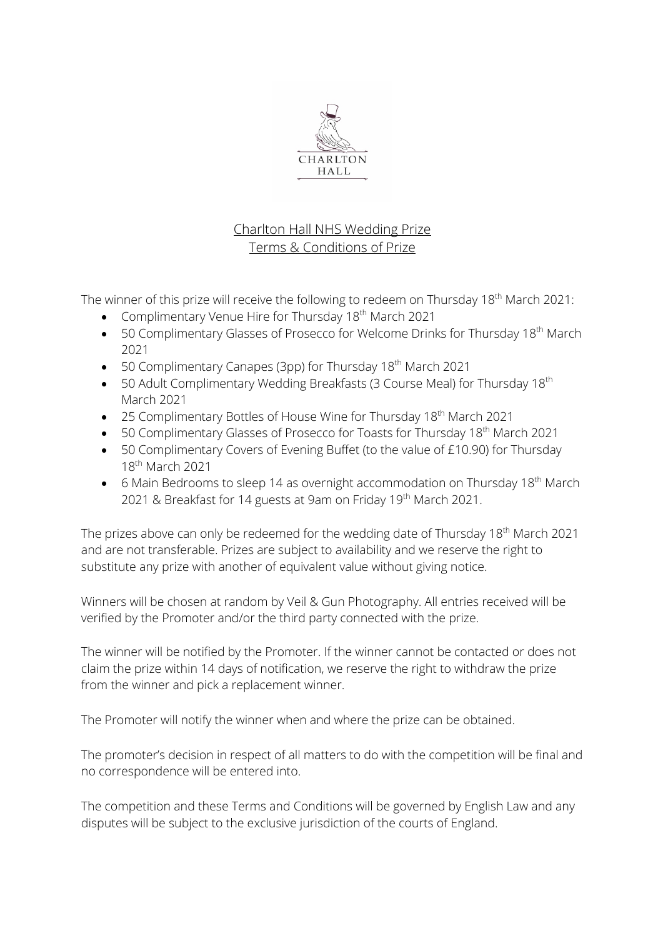

# Charlton Hall NHS Wedding Prize Terms & Conditions of Prize

The winner of this prize will receive the following to redeem on Thursday 18<sup>th</sup> March 2021:

- Complimentary Venue Hire for Thursday 18<sup>th</sup> March 2021
- 50 Complimentary Glasses of Prosecco for Welcome Drinks for Thursday 18<sup>th</sup> March 2021
- 50 Complimentary Canapes (3pp) for Thursday 18<sup>th</sup> March 2021
- 50 Adult Complimentary Wedding Breakfasts (3 Course Meal) for Thursday 18<sup>th</sup> March 2021
- 25 Complimentary Bottles of House Wine for Thursday 18<sup>th</sup> March 2021
- 50 Complimentary Glasses of Prosecco for Toasts for Thursday 18<sup>th</sup> March 2021
- 50 Complimentary Covers of Evening Buffet (to the value of £10.90) for Thursday 18th March 2021
- 6 Main Bedrooms to sleep 14 as overnight accommodation on Thursday 18<sup>th</sup> March 2021 & Breakfast for 14 guests at 9am on Friday 19th March 2021.

The prizes above can only be redeemed for the wedding date of Thursday 18<sup>th</sup> March 2021 and are not transferable. Prizes are subject to availability and we reserve the right to substitute any prize with another of equivalent value without giving notice.

Winners will be chosen at random by Veil & Gun Photography. All entries received will be verified by the Promoter and/or the third party connected with the prize.

The winner will be notified by the Promoter. If the winner cannot be contacted or does not claim the prize within 14 days of notification, we reserve the right to withdraw the prize from the winner and pick a replacement winner.

The Promoter will notify the winner when and where the prize can be obtained.

The promoter's decision in respect of all matters to do with the competition will be final and no correspondence will be entered into.

The competition and these Terms and Conditions will be governed by English Law and any disputes will be subject to the exclusive jurisdiction of the courts of England.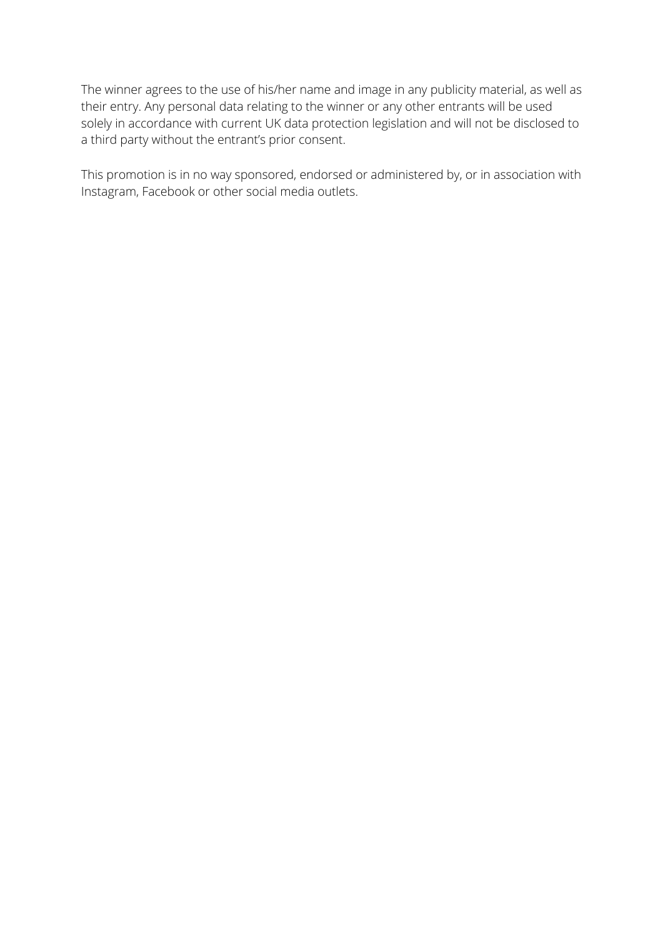The winner agrees to the use of his/her name and image in any publicity material, as well as their entry. Any personal data relating to the winner or any other entrants will be used solely in accordance with current UK data protection legislation and will not be disclosed to a third party without the entrant's prior consent.

This promotion is in no way sponsored, endorsed or administered by, or in association with Instagram, Facebook or other social media outlets.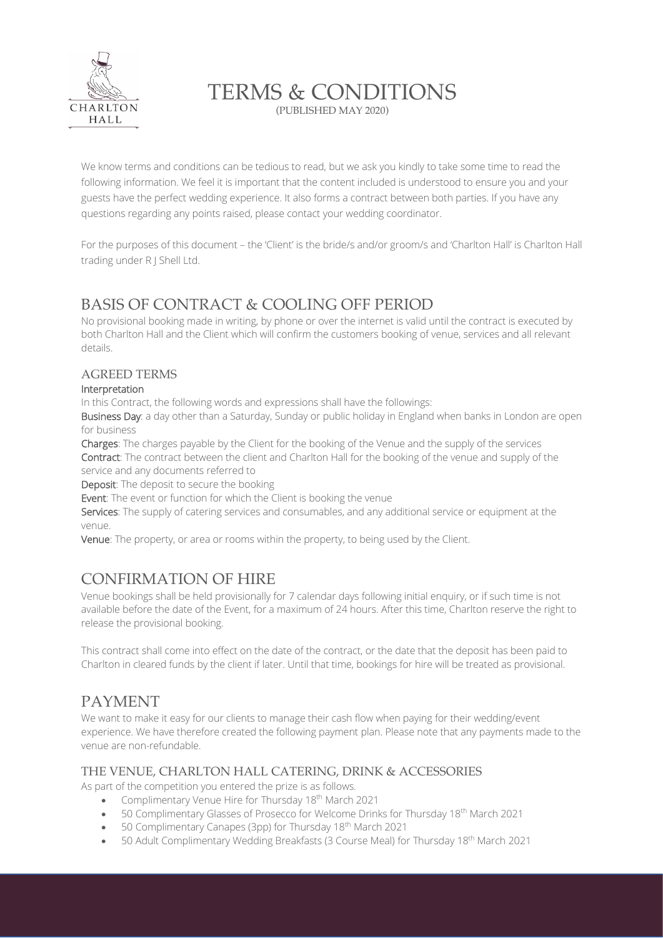

# TERMS & CONDITIONS

(PUBLISHED MAY 2020)

We know terms and conditions can be tedious to read, but we ask you kindly to take some time to read the following information. We feel it is important that the content included is understood to ensure you and your guests have the perfect wedding experience. It also forms a contract between both parties. If you have any questions regarding any points raised, please contact your wedding coordinator.

For the purposes of this document – the 'Client' is the bride/s and/or groom/s and 'Charlton Hall' is Charlton Hall trading under R J Shell Ltd.

# BASIS OF CONTRACT & COOLING OFF PERIOD

No provisional booking made in writing, by phone or over the internet is valid until the contract is executed by both Charlton Hall and the Client which will confirm the customers booking of venue, services and all relevant details.

#### AGREED TERMS

#### Interpretation

In this Contract, the following words and expressions shall have the followings:

Business Day: a day other than a Saturday, Sunday or public holiday in England when banks in London are open for business

Charges: The charges payable by the Client for the booking of the Venue and the supply of the services Contract: The contract between the client and Charlton Hall for the booking of the venue and supply of the service and any documents referred to

Deposit: The deposit to secure the booking

Event: The event or function for which the Client is booking the venue

Services: The supply of catering services and consumables, and any additional service or equipment at the venue.

Venue: The property, or area or rooms within the property, to being used by the Client.

# CONFIRMATION OF HIRE

Venue bookings shall be held provisionally for 7 calendar days following initial enquiry, or if such time is not available before the date of the Event, for a maximum of 24 hours. After this time, Charlton reserve the right to release the provisional booking.

This contract shall come into effect on the date of the contract, or the date that the deposit has been paid to Charlton in cleared funds by the client if later. Until that time, bookings for hire will be treated as provisional.

# PAYMENT

We want to make it easy for our clients to manage their cash flow when paying for their wedding/event experience. We have therefore created the following payment plan. Please note that any payments made to the venue are non-refundable.

#### THE VENUE, CHARLTON HALL CATERING, DRINK & ACCESSORIES

As part of the competition you entered the prize is as follows.

- Complimentary Venue Hire for Thursday 18<sup>th</sup> March 2021
- 50 Complimentary Glasses of Prosecco for Welcome Drinks for Thursday 18<sup>th</sup> March 2021
- 50 Complimentary Canapes (3pp) for Thursday  $18<sup>th</sup>$  March 2021
- 50 Adult Complimentary Wedding Breakfasts (3 Course Meal) for Thursday 18<sup>th</sup> March 2021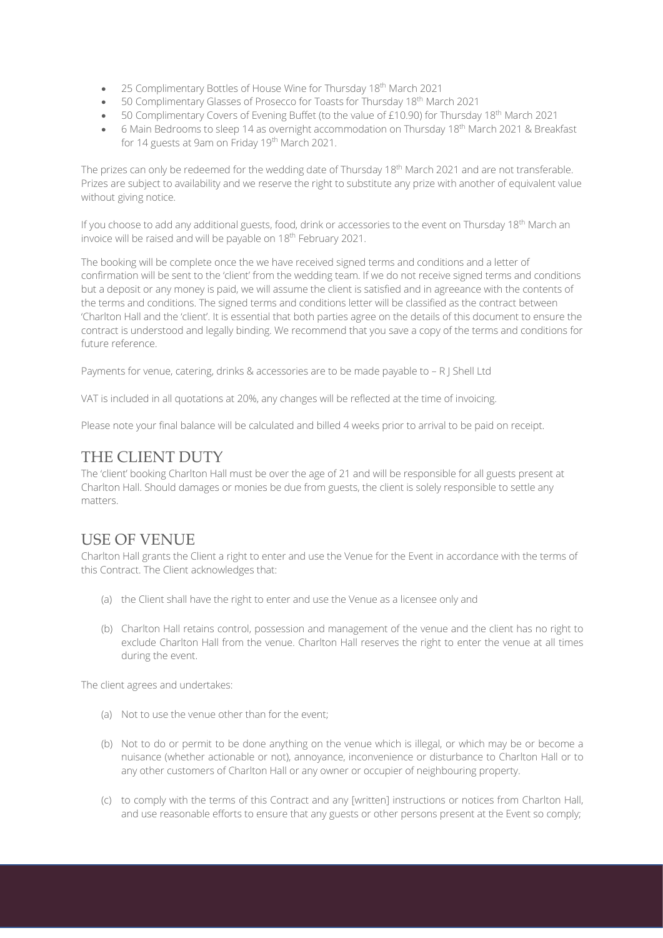- 25 Complimentary Bottles of House Wine for Thursday 18<sup>th</sup> March 2021
- 50 Complimentary Glasses of Prosecco for Toasts for Thursday 18<sup>th</sup> March 2021
- 50 Complimentary Covers of Evening Buffet (to the value of £10.90) for Thursday 18<sup>th</sup> March 2021
- 6 Main Bedrooms to sleep 14 as overnight accommodation on Thursday 18<sup>th</sup> March 2021 & Breakfast for 14 guests at 9am on Friday 19th March 2021.

The prizes can only be redeemed for the wedding date of Thursday 18<sup>th</sup> March 2021 and are not transferable. Prizes are subject to availability and we reserve the right to substitute any prize with another of equivalent value without giving notice.

If you choose to add any additional guests, food, drink or accessories to the event on Thursday 18<sup>th</sup> March an invoice will be raised and will be payable on 18<sup>th</sup> February 2021.

The booking will be complete once the we have received signed terms and conditions and a letter of confirmation will be sent to the 'client' from the wedding team. If we do not receive signed terms and conditions but a deposit or any money is paid, we will assume the client is satisfied and in agreeance with the contents of the terms and conditions. The signed terms and conditions letter will be classified as the contract between 'Charlton Hall and the 'client'. It is essential that both parties agree on the details of this document to ensure the contract is understood and legally binding. We recommend that you save a copy of the terms and conditions for future reference.

Payments for venue, catering, drinks & accessories are to be made payable to - R J Shell Ltd

VAT is included in all quotations at 20%, any changes will be reflected at the time of invoicing.

Please note your final balance will be calculated and billed 4 weeks prior to arrival to be paid on receipt.

### THE CLIENT DUTY

The 'client' booking Charlton Hall must be over the age of 21 and will be responsible for all guests present at Charlton Hall. Should damages or monies be due from guests, the client is solely responsible to settle any matters.

## USE OF VENUE

Charlton Hall grants the Client a right to enter and use the Venue for the Event in accordance with the terms of this Contract. The Client acknowledges that:

- (a) the Client shall have the right to enter and use the Venue as a licensee only and
- (b) Charlton Hall retains control, possession and management of the venue and the client has no right to exclude Charlton Hall from the venue. Charlton Hall reserves the right to enter the venue at all times during the event.

The client agrees and undertakes:

- (a) Not to use the venue other than for the event;
- (b) Not to do or permit to be done anything on the venue which is illegal, or which may be or become a nuisance (whether actionable or not), annoyance, inconvenience or disturbance to Charlton Hall or to any other customers of Charlton Hall or any owner or occupier of neighbouring property.
- (c) to comply with the terms of this Contract and any [written] instructions or notices from Charlton Hall, and use reasonable efforts to ensure that any guests or other persons present at the Event so comply;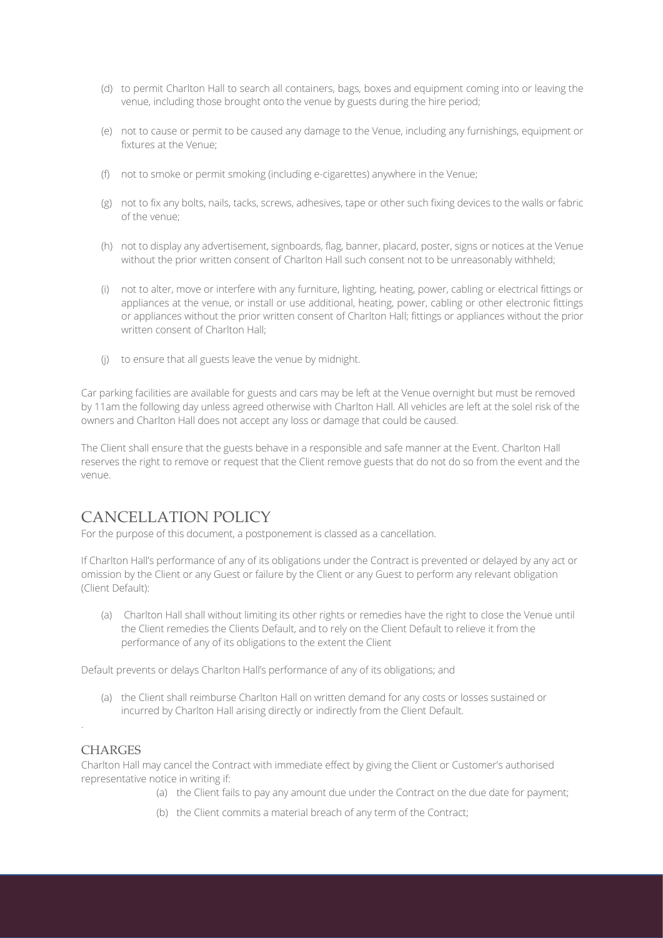- (d) to permit Charlton Hall to search all containers, bags, boxes and equipment coming into or leaving the venue, including those brought onto the venue by guests during the hire period;
- (e) not to cause or permit to be caused any damage to the Venue, including any furnishings, equipment or fixtures at the Venue;
- (f) not to smoke or permit smoking (including e-cigarettes) anywhere in the Venue;
- (g) not to fix any bolts, nails, tacks, screws, adhesives, tape or other such fixing devices to the walls or fabric of the venue;
- (h) not to display any advertisement, signboards, flag, banner, placard, poster, signs or notices at the Venue without the prior written consent of Charlton Hall such consent not to be unreasonably withheld;
- (i) not to alter, move or interfere with any furniture, lighting, heating, power, cabling or electrical fittings or appliances at the venue, or install or use additional, heating, power, cabling or other electronic fittings or appliances without the prior written consent of Charlton Hall; fittings or appliances without the prior written consent of Charlton Hall;
- (j) to ensure that all guests leave the venue by midnight.

Car parking facilities are available for guests and cars may be left at the Venue overnight but must be removed by 11am the following day unless agreed otherwise with Charlton Hall. All vehicles are left at the solel risk of the owners and Charlton Hall does not accept any loss or damage that could be caused.

The Client shall ensure that the guests behave in a responsible and safe manner at the Event. Charlton Hall reserves the right to remove or request that the Client remove guests that do not do so from the event and the venue.

## CANCELLATION POLICY

For the purpose of this document, a postponement is classed as a cancellation.

If Charlton Hall's performance of any of its obligations under the Contract is prevented or delayed by any act or omission by the Client or any Guest or failure by the Client or any Guest to perform any relevant obligation (Client Default):

(a) Charlton Hall shall without limiting its other rights or remedies have the right to close the Venue until the Client remedies the Clients Default, and to rely on the Client Default to relieve it from the performance of any of its obligations to the extent the Client

Default prevents or delays Charlton Hall's performance of any of its obligations; and

(a) the Client shall reimburse Charlton Hall on written demand for any costs or losses sustained or incurred by Charlton Hall arising directly or indirectly from the Client Default.

#### **CHARGES**

.

Charlton Hall may cancel the Contract with immediate effect by giving the Client or Customer's authorised representative notice in writing if:

- (a) the Client fails to pay any amount due under the Contract on the due date for payment;
- (b) the Client commits a material breach of any term of the Contract;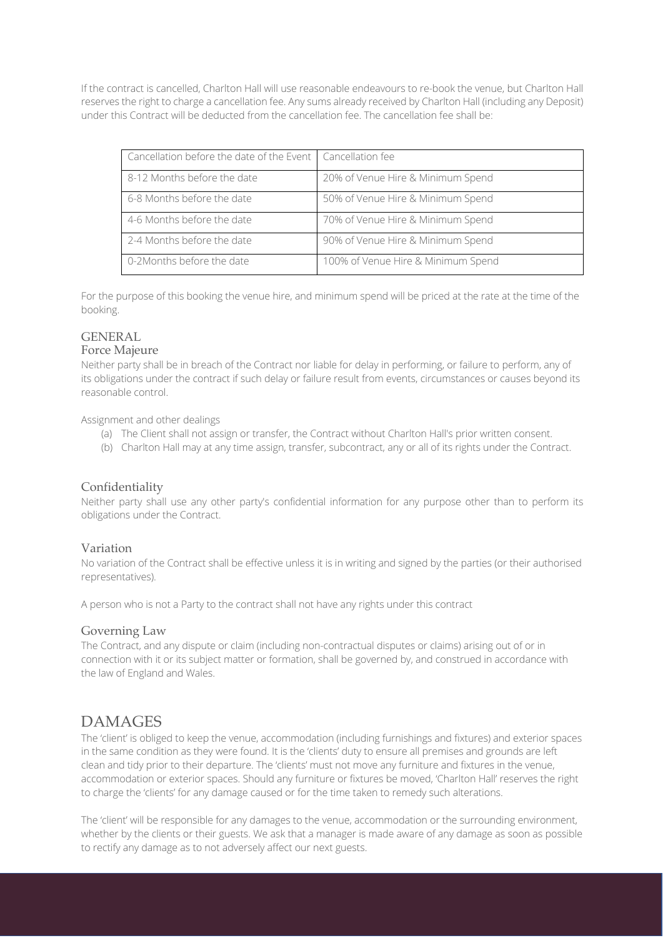If the contract is cancelled, Charlton Hall will use reasonable endeavours to re-book the venue, but Charlton Hall reserves the right to charge a cancellation fee. Any sums already received by Charlton Hall (including any Deposit) under this Contract will be deducted from the cancellation fee. The cancellation fee shall be:

| Cancellation before the date of the Event   Cancellation fee |                                    |
|--------------------------------------------------------------|------------------------------------|
| 8-12 Months before the date                                  | 20% of Venue Hire & Minimum Spend  |
| 6-8 Months before the date                                   | 50% of Venue Hire & Minimum Spend  |
| 4-6 Months before the date                                   | 70% of Venue Hire & Minimum Spend  |
| 2-4 Months before the date                                   | 90% of Venue Hire & Minimum Spend  |
| 0-2Months before the date                                    | 100% of Venue Hire & Minimum Spend |

For the purpose of this booking the venue hire, and minimum spend will be priced at the rate at the time of the booking.

# GENERAL

#### Force Majeure

Neither party shall be in breach of the Contract nor liable for delay in performing, or failure to perform, any of its obligations under the contract if such delay or failure result from events, circumstances or causes beyond its reasonable control.

Assignment and other dealings

- (a) The Client shall not assign or transfer, the Contract without Charlton Hall's prior written consent.
- (b) Charlton Hall may at any time assign, transfer, subcontract, any or all of its rights under the Contract.

#### Confidentiality

Neither party shall use any other party's confidential information for any purpose other than to perform its obligations under the Contract.

#### Variation

No variation of the Contract shall be effective unless it is in writing and signed by the parties (or their authorised representatives).

A person who is not a Party to the contract shall not have any rights under this contract

#### Governing Law

The Contract, and any dispute or claim (including non-contractual disputes or claims) arising out of or in connection with it or its subject matter or formation, shall be governed by, and construed in accordance with the law of England and Wales.

### DAMAGES

The 'client' is obliged to keep the venue, accommodation (including furnishings and fixtures) and exterior spaces in the same condition as they were found. It is the 'clients' duty to ensure all premises and grounds are left clean and tidy prior to their departure. The 'clients' must not move any furniture and fixtures in the venue, accommodation or exterior spaces. Should any furniture or fixtures be moved, 'Charlton Hall' reserves the right to charge the 'clients' for any damage caused or for the time taken to remedy such alterations.

The 'client' will be responsible for any damages to the venue, accommodation or the surrounding environment, whether by the clients or their guests. We ask that a manager is made aware of any damage as soon as possible to rectify any damage as to not adversely affect our next guests.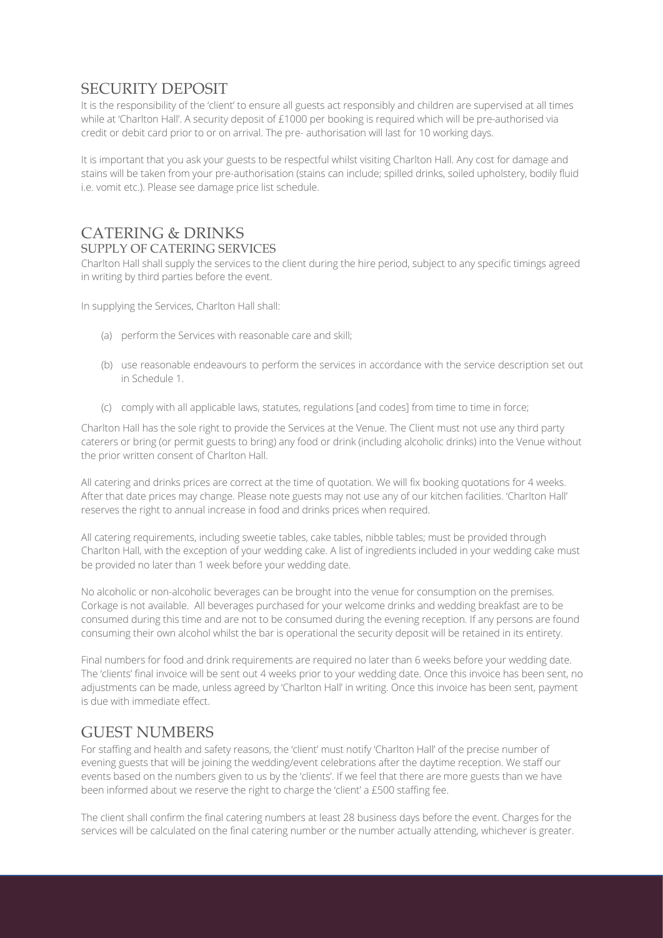# SECURITY DEPOSIT

It is the responsibility of the 'client' to ensure all guests act responsibly and children are supervised at all times while at 'Charlton Hall'. A security deposit of £1000 per booking is required which will be pre-authorised via credit or debit card prior to or on arrival. The pre- authorisation will last for 10 working days.

It is important that you ask your guests to be respectful whilst visiting Charlton Hall. Any cost for damage and stains will be taken from your pre-authorisation (stains can include; spilled drinks, soiled upholstery, bodily fluid i.e. vomit etc.). Please see damage price list schedule.

# CATERING & DRINKS

#### SUPPLY OF CATERING SERVICES

Charlton Hall shall supply the services to the client during the hire period, subject to any specific timings agreed in writing by third parties before the event.

In supplying the Services, Charlton Hall shall:

- (a) perform the Services with reasonable care and skill;
- (b) use reasonable endeavours to perform the services in accordance with the service description set out in Schedule 1.
- (c) comply with all applicable laws, statutes, regulations [and codes] from time to time in force;

Charlton Hall has the sole right to provide the Services at the Venue. The Client must not use any third party caterers or bring (or permit guests to bring) any food or drink (including alcoholic drinks) into the Venue without the prior written consent of Charlton Hall.

All catering and drinks prices are correct at the time of quotation. We will fix booking quotations for 4 weeks. After that date prices may change. Please note guests may not use any of our kitchen facilities. 'Charlton Hall' reserves the right to annual increase in food and drinks prices when required.

All catering requirements, including sweetie tables, cake tables, nibble tables; must be provided through Charlton Hall, with the exception of your wedding cake. A list of ingredients included in your wedding cake must be provided no later than 1 week before your wedding date.

No alcoholic or non-alcoholic beverages can be brought into the venue for consumption on the premises. Corkage is not available. All beverages purchased for your welcome drinks and wedding breakfast are to be consumed during this time and are not to be consumed during the evening reception. If any persons are found consuming their own alcohol whilst the bar is operational the security deposit will be retained in its entirety.

Final numbers for food and drink requirements are required no later than 6 weeks before your wedding date. The 'clients' final invoice will be sent out 4 weeks prior to your wedding date. Once this invoice has been sent, no adjustments can be made, unless agreed by 'Charlton Hall' in writing. Once this invoice has been sent, payment is due with immediate effect.

## GUEST NUMBERS

For staffing and health and safety reasons, the 'client' must notify 'Charlton Hall' of the precise number of evening guests that will be joining the wedding/event celebrations after the daytime reception. We staff our events based on the numbers given to us by the 'clients'. If we feel that there are more guests than we have been informed about we reserve the right to charge the 'client' a £500 staffing fee.

The client shall confirm the final catering numbers at least 28 business days before the event. Charges for the services will be calculated on the final catering number or the number actually attending, whichever is greater.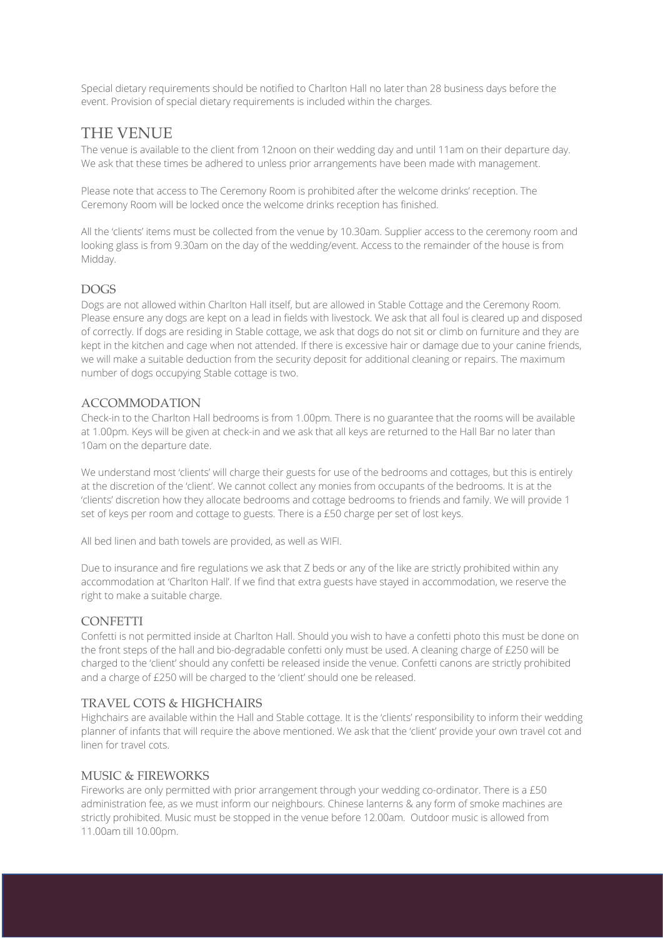Special dietary requirements should be notified to Charlton Hall no later than 28 business days before the event. Provision of special dietary requirements is included within the charges.

# THE VENUE

The venue is available to the client from 12noon on their wedding day and until 11am on their departure day. We ask that these times be adhered to unless prior arrangements have been made with management.

Please note that access to The Ceremony Room is prohibited after the welcome drinks' reception. The Ceremony Room will be locked once the welcome drinks reception has finished.

All the 'clients' items must be collected from the venue by 10.30am. Supplier access to the ceremony room and looking glass is from 9.30am on the day of the wedding/event. Access to the remainder of the house is from Midday.

#### DOGS

Dogs are not allowed within Charlton Hall itself, but are allowed in Stable Cottage and the Ceremony Room. Please ensure any dogs are kept on a lead in fields with livestock. We ask that all foul is cleared up and disposed of correctly. If dogs are residing in Stable cottage, we ask that dogs do not sit or climb on furniture and they are kept in the kitchen and cage when not attended. If there is excessive hair or damage due to your canine friends, we will make a suitable deduction from the security deposit for additional cleaning or repairs. The maximum number of dogs occupying Stable cottage is two.

#### ACCOMMODATION

Check-in to the Charlton Hall bedrooms is from 1.00pm. There is no guarantee that the rooms will be available at 1.00pm. Keys will be given at check-in and we ask that all keys are returned to the Hall Bar no later than 10am on the departure date.

We understand most 'clients' will charge their guests for use of the bedrooms and cottages, but this is entirely at the discretion of the 'client'. We cannot collect any monies from occupants of the bedrooms. It is at the 'clients' discretion how they allocate bedrooms and cottage bedrooms to friends and family. We will provide 1 set of keys per room and cottage to guests. There is a £50 charge per set of lost keys.

All bed linen and bath towels are provided, as well as WIFI.

Due to insurance and fire regulations we ask that Z beds or any of the like are strictly prohibited within any accommodation at 'Charlton Hall'. If we find that extra guests have stayed in accommodation, we reserve the right to make a suitable charge.

#### **CONFETTI**

Confetti is not permitted inside at Charlton Hall. Should you wish to have a confetti photo this must be done on the front steps of the hall and bio-degradable confetti only must be used. A cleaning charge of £250 will be charged to the 'client' should any confetti be released inside the venue. Confetti canons are strictly prohibited and a charge of £250 will be charged to the 'client' should one be released.

#### TRAVEL COTS & HIGHCHAIRS

Highchairs are available within the Hall and Stable cottage. It is the 'clients' responsibility to inform their wedding planner of infants that will require the above mentioned. We ask that the 'client' provide your own travel cot and linen for travel cots.

#### MUSIC & FIREWORKS

Fireworks are only permitted with prior arrangement through your wedding co-ordinator. There is a £50 administration fee, as we must inform our neighbours. Chinese lanterns & any form of smoke machines are strictly prohibited. Music must be stopped in the venue before 12.00am. Outdoor music is allowed from 11.00am till 10.00pm.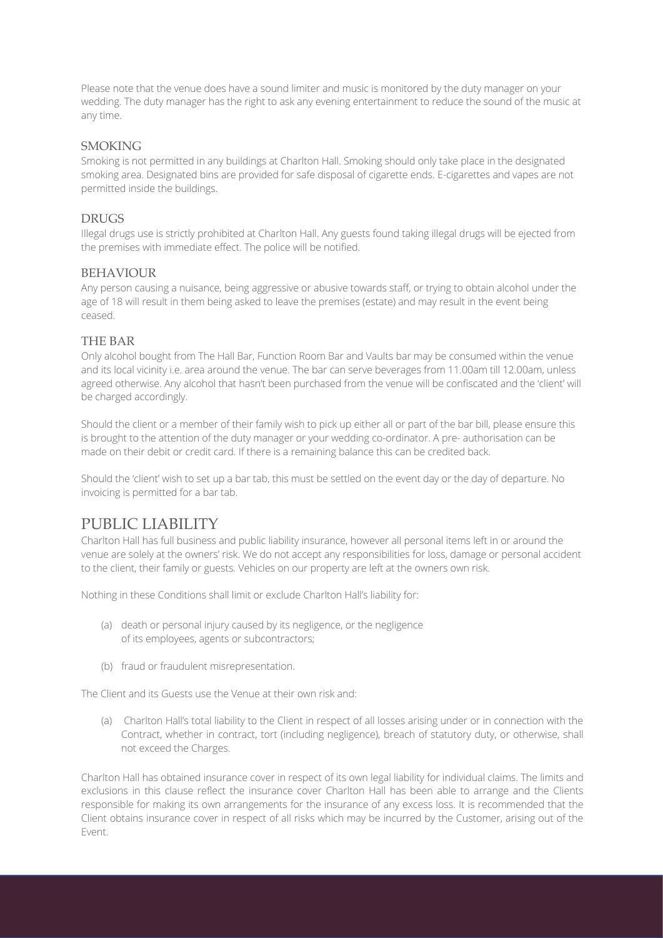Please note that the venue does have a sound limiter and music is monitored by the duty manager on your wedding. The duty manager has the right to ask any evening entertainment to reduce the sound of the music at any time.

#### **SMOKING**

Smoking is not permitted in any buildings at Charlton Hall. Smoking should only take place in the designated smoking area. Designated bins are provided for safe disposal of cigarette ends. E-cigarettes and vapes are not permitted inside the buildings.

#### DRUGS

Illegal drugs use is strictly prohibited at Charlton Hall. Any guests found taking illegal drugs will be ejected from the premises with immediate effect. The police will be notified.

#### BEHAVIOUR

Any person causing a nuisance, being aggressive or abusive towards staff, or trying to obtain alcohol under the age of 18 will result in them being asked to leave the premises (estate) and may result in the event being ceased.

#### THE BAR

Only alcohol bought from The Hall Bar, Function Room Bar and Vaults bar may be consumed within the venue and its local vicinity i.e. area around the venue. The bar can serve beverages from 11.00am till 12.00am, unless agreed otherwise. Any alcohol that hasn't been purchased from the venue will be confiscated and the 'client' will be charged accordingly.

Should the client or a member of their family wish to pick up either all or part of the bar bill, please ensure this is brought to the attention of the duty manager or your wedding co-ordinator. A pre- authorisation can be made on their debit or credit card. If there is a remaining balance this can be credited back.

Should the 'client' wish to set up a bar tab, this must be settled on the event day or the day of departure. No invoicing is permitted for a bar tab.

## PUBLIC LIABILITY

Charlton Hall has full business and public liability insurance, however all personal items left in or around the venue are solely at the owners' risk. We do not accept any responsibilities for loss, damage or personal accident to the client, their family or guests. Vehicles on our property are left at the owners own risk.

Nothing in these Conditions shall limit or exclude Charlton Hall's liability for:

- (a) death or personal injury caused by its negligence, or the negligence of its employees, agents or subcontractors;
- (b) fraud or fraudulent misrepresentation.

The Client and its Guests use the Venue at their own risk and:

(a) Charlton Hall's total liability to the Client in respect of all losses arising under or in connection with the Contract, whether in contract, tort (including negligence), breach of statutory duty, or otherwise, shall not exceed the Charges.

Charlton Hall has obtained insurance cover in respect of its own legal liability for individual claims. The limits and exclusions in this clause reflect the insurance cover Charlton Hall has been able to arrange and the Clients responsible for making its own arrangements for the insurance of any excess loss. It is recommended that the Client obtains insurance cover in respect of all risks which may be incurred by the Customer, arising out of the Event.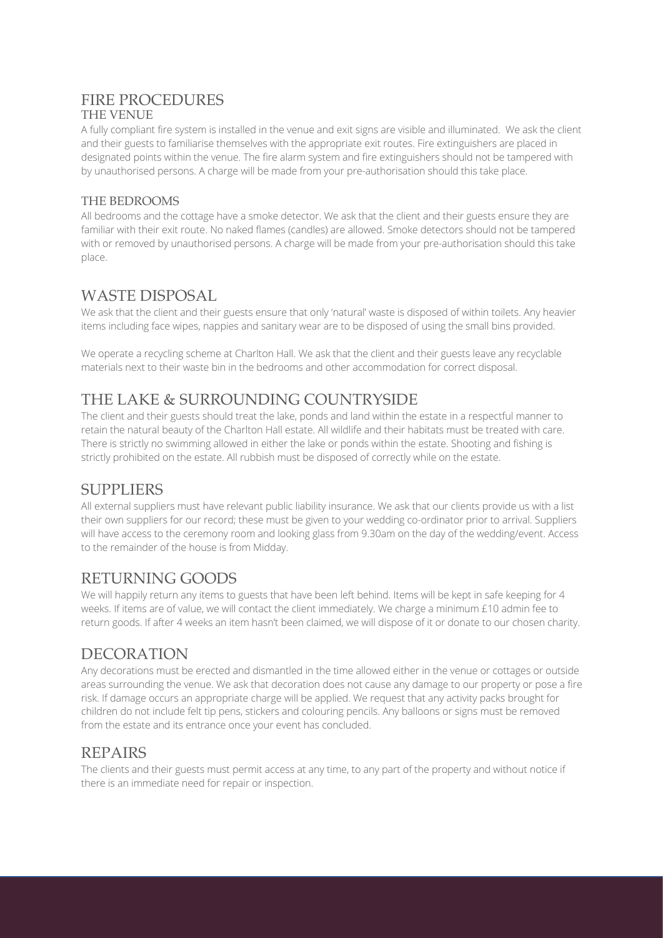#### FIRE PROCEDURES THE VENUE

A fully compliant fire system is installed in the venue and exit signs are visible and illuminated. We ask the client and their guests to familiarise themselves with the appropriate exit routes. Fire extinguishers are placed in designated points within the venue. The fire alarm system and fire extinguishers should not be tampered with by unauthorised persons. A charge will be made from your pre-authorisation should this take place.

#### THE BEDROOMS

All bedrooms and the cottage have a smoke detector. We ask that the client and their guests ensure they are familiar with their exit route. No naked flames (candles) are allowed. Smoke detectors should not be tampered with or removed by unauthorised persons. A charge will be made from your pre-authorisation should this take place.

### WASTE DISPOSAL

We ask that the client and their guests ensure that only 'natural' waste is disposed of within toilets. Any heavier items including face wipes, nappies and sanitary wear are to be disposed of using the small bins provided.

We operate a recycling scheme at Charlton Hall. We ask that the client and their guests leave any recyclable materials next to their waste bin in the bedrooms and other accommodation for correct disposal.

# THE LAKE & SURROUNDING COUNTRYSIDE

The client and their guests should treat the lake, ponds and land within the estate in a respectful manner to retain the natural beauty of the Charlton Hall estate. All wildlife and their habitats must be treated with care. There is strictly no swimming allowed in either the lake or ponds within the estate. Shooting and fishing is strictly prohibited on the estate. All rubbish must be disposed of correctly while on the estate.

## SUPPLIERS

All external suppliers must have relevant public liability insurance. We ask that our clients provide us with a list their own suppliers for our record; these must be given to your wedding co-ordinator prior to arrival. Suppliers will have access to the ceremony room and looking glass from 9.30am on the day of the wedding/event. Access to the remainder of the house is from Midday.

## RETURNING GOODS

We will happily return any items to guests that have been left behind. Items will be kept in safe keeping for 4 weeks. If items are of value, we will contact the client immediately. We charge a minimum £10 admin fee to return goods. If after 4 weeks an item hasn't been claimed, we will dispose of it or donate to our chosen charity.

## **DECORATION**

Any decorations must be erected and dismantled in the time allowed either in the venue or cottages or outside areas surrounding the venue. We ask that decoration does not cause any damage to our property or pose a fire risk. If damage occurs an appropriate charge will be applied. We request that any activity packs brought for children do not include felt tip pens, stickers and colouring pencils. Any balloons or signs must be removed from the estate and its entrance once your event has concluded.

## REPAIRS

The clients and their guests must permit access at any time, to any part of the property and without notice if there is an immediate need for repair or inspection.